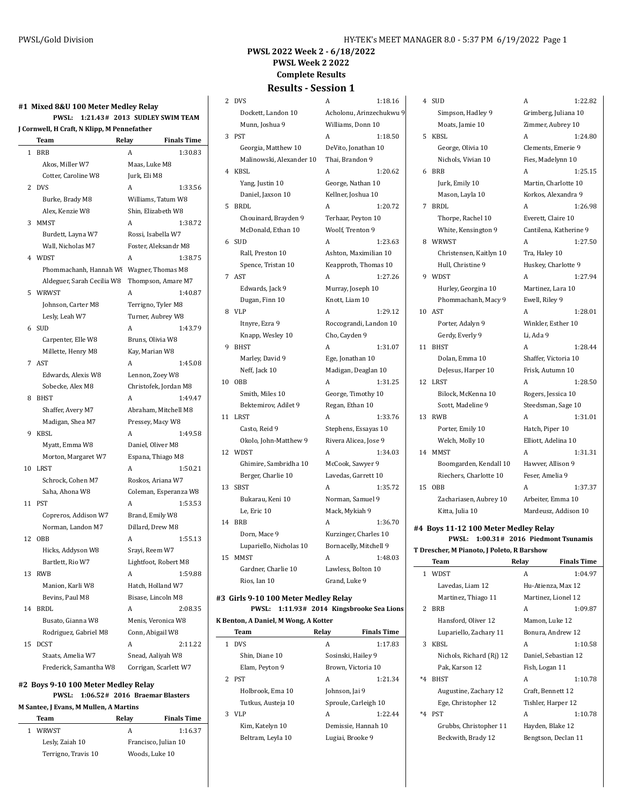4 SUD A 1:22.82 Simpson, Hadley 9 Grimberg, Juliana 10 Moats, Jamie 10 Zimmer, Aubrey 10

#### **PWSL 2022 Week 2 - 6/18/2022 PWSL Week 2 2022 Complete Results**

#### **Results - Session 1** 2 DVS A 1:18.16

#### **#1 Mixed 8&U 100 Meter Medley Relay PWSL: 1:21.43# 2013 SUDLEY SWIM TEAM J Cornwell, H Craft, N Klipp, M Pennefather**

|    | Team                                | Relay                 | <b>Finals Time</b> |
|----|-------------------------------------|-----------------------|--------------------|
| 1  | <b>BRB</b>                          | A                     | 1:30.83            |
|    | Akos, Miller W7                     | Maas, Luke M8         |                    |
|    | Cotter, Caroline W8                 | Jurk, Eli M8          |                    |
| 2  | <b>DVS</b>                          | A                     | 1:33.56            |
|    | Burke, Brady M8                     | Williams, Tatum W8    |                    |
|    | Alex, Kenzie W8                     | Shin, Elizabeth W8    |                    |
| 3  | <b>MMST</b>                         | A                     | 1:38.72            |
|    | Burdett, Layna W7                   | Rossi, Isabella W7    |                    |
|    | Wall, Nicholas M7                   | Foster, Aleksandr M8  |                    |
| 4  | WDST                                | A                     | 1:38.75            |
|    | Phommachanh, Hannah Wi              | Wagner, Thomas M8     |                    |
|    | Aldeguer, Sarah Cecilia W8          | Thompson, Amare M7    |                    |
| 5  | WRWST                               | A                     | 1:40.87            |
|    | Johnson, Carter M8                  | Terrigno, Tyler M8    |                    |
|    | Lesly, Leah W7                      | Turner, Aubrey W8     |                    |
| 6  | <b>SUD</b>                          | A                     | 1:43.79            |
|    | Carpenter, Elle W8                  | Bruns, Olivia W8      |                    |
|    | Millette, Henry M8                  | Kay, Marian W8        |                    |
| 7  | <b>AST</b>                          | A                     | 1:45.08            |
|    | Edwards, Alexis W8                  | Lennon, Zoey W8       |                    |
|    | Sobecke, Alex M8                    | Christofek, Jordan M8 |                    |
| 8  | <b>BHST</b>                         | A                     | 1:49.47            |
|    | Shaffer, Avery M7                   | Abraham, Mitchell M8  |                    |
|    | Madigan, Shea M7                    | Pressey, Macy W8      |                    |
| 9  | KBSL                                | A                     | 1:49.58            |
|    | Myatt, Emma W8                      | Daniel, Oliver M8     |                    |
|    | Morton, Margaret W7                 | Espana, Thiago M8     |                    |
| 10 | LRST                                | A                     | 1:50.21            |
|    | Schrock, Cohen M7                   | Roskos, Ariana W7     |                    |
|    | Saha, Ahona W8                      | Coleman, Esperanza W8 |                    |
| 11 | <b>PST</b>                          | A                     | 1:53.53            |
|    | Copreros, Addison W7                | Brand, Emily W8       |                    |
|    | Norman, Landon M7                   | Dillard, Drew M8      |                    |
| 12 | OBB                                 | A                     | 1:55.13            |
|    | Hicks, Addyson W8                   | Srayi, Reem W7        |                    |
|    | Bartlett, Rio W7                    | Lightfoot, Robert M8  |                    |
| 13 | <b>RWB</b>                          | A                     | 1:59.88            |
|    | Manion, Karli W8                    | Hatch, Holland W7     |                    |
|    | Bevins, Paul M8                     | Bisase, Lincoln M8    |                    |
| 14 | <b>BRDL</b>                         | A                     | 2:08.35            |
|    | Busato, Gianna W8                   | Menis, Veronica W8    |                    |
|    | Rodriguez, Gabriel M8               | Conn, Abigail W8      |                    |
| 15 | <b>DCST</b>                         | A                     | 2:11.22            |
|    | Staats, Amelia W7                   | Snead, Aaliyah W8     |                    |
|    | Frederick, Samantha W8              | Corrigan, Scarlett W7 |                    |
|    | #2 Boys 9-10 100 Meter Medley Relay |                       |                    |

# **PWSL: 1:06.52# 2016 Braemar Blasters**

#### **M Santee, J Evans, M Mullen, A Martins**

| Team                | Relav | <b>Finals Time</b>   |
|---------------------|-------|----------------------|
| WRWST               | А     | 1:16.37              |
| Lesly, Zaiah 10     |       | Francisco, Julian 10 |
| Terrigno, Travis 10 |       | Woods, Luke 10       |

## Munn, Joshua 9 Williams, Donn 10 3 PST A 1:18.50 Georgia, Matthew 10 DeVito, Jonathan 10 Malinowski, Alexander 10 Thai, Brandon 9 4 KBSL A 1:20.62 Yang, Justin 10 George, Nathan 10 Daniel, Jaxson 10 Kellner, Joshua 10 5 BRDL A 1:20.72 Chouinard, Brayden 9 Terhaar, Peyton 10 McDonald, Ethan 10 Woolf, Trenton 9 6 SUD A 1:23.63

7 AST A 1:27.26 Edwards, Jack 9 Murray, Joseph 10 Dugan, Finn 10 Knott, Liam 10 8 VLP A 1:29.12

9 BHST A 1:31.07 Marley, David 9 Ege, Jonathan 10 10 OBB A 1:31.25 Smith, Miles 10 George, Timothy 10

Bektemirov, Adilet 9 Regan, Ethan 10 11 LRST A 1:33.76 Casto, Reid 9 Stephens, Essayas 10

12 WDST A 1:34.03 Ghimire, Sambridha 10 McCook, Sawyer 9 Berger, Charlie 10 Lavedas, Garrett 10

Bukarau, Keni 10 Norman, Samuel 9 Le, Eric 10 Mack, Mykiah 9 14 BRB **A** 1:36.70 Dorn, Mace 9 Kurzinger, Charles 10 Lupariello, Nicholas 10 Bornacelly, Mitchell 9

15 MMST A 1:48.03 Gardner, Charlie 10 Lawless, Bolton 10 Rios, Ian 10 Grand, Luke 9

 $\overline{\phantom{a}}$ 

#### **#3 Girls 9-10 100 Meter Medley Relay**

**PWSL: 1:11.93# 2014 Kingsbrooke Sea Lions K Benton, A Daniel, M Wong, A Kotter**

|               | Team               | Relay                | <b>Finals Time</b>  |
|---------------|--------------------|----------------------|---------------------|
| 1             | <b>DVS</b>         | A                    | 1:17.83             |
|               | Shin. Diane 10     | Sosinski, Hailey 9   |                     |
|               | Elam, Peyton 9     | Brown, Victoria 10   |                     |
| $\mathcal{P}$ | <b>PST</b>         | А                    | 1:21.34             |
|               | Holbrook, Ema 10   | Johnson, Jai 9       |                     |
|               | Tutkus, Austeja 10 | Sproule, Carleigh 10 |                     |
| 3             | VLP                | A                    | 1.22.44             |
|               | Kim, Katelyn 10    |                      | Demissie, Hannah 10 |
|               | Beltram, Leyla 10  | Lugiai, Brooke 9     |                     |

# Dockett, Landon 10 Acholonu, Arinzechukwu 9 Rall, Preston 10 Ashton, Maximilian 10 Spence, Tristan 10 Keapproth, Thomas 10 Itnyre, Ezra 9 Roccograndi, Landon 10 Knapp, Wesley 10 Cho, Cayden 9 Neff, Jack 10 Madigan, Deaglan 10 Okolo, John-Matthew 9 Rivera Alicea, Jose 9 13 SBST A 1:35.72

5 KBSL A 1:24.80 George, Olivia 10 Clements, Emerie 9 Nichols, Vivian 10 Fies, Madelynn 10 6 BRB A 1:25.15 Jurk, Emily 10 Martin, Charlotte 10 Mason, Layla 10 Korkos, Alexandra 9 7 BRDL A 1:26.98 Thorpe, Rachel 10 Everett, Claire 10 White, Kensington 9 Cantilena, Katherine 9 8 WRWST A 1:27.50 Christensen, Kaitlyn 10 Tra, Haley 10 Hull, Christine 9 Huskey, Charlotte 9 9 WDST A 1:27.94 Hurley, Georgina 10 Martinez, Lara 10 Phommachanh, Macy 9 Ewell, Riley 9 10 AST A 1:28.01 Porter, Adalyn 9 Winkler, Esther 10 Gerdy, Everly 9 Li, Ada 9 11 BHST A 1:28.44 Dolan, Emma 10 Shaffer, Victoria 10 DeJesus, Harper 10 Frisk, Autumn 10 12 LRST A 1:28.50 Bilock, McKenna 10 Rogers, Jessica 10 Scott, Madeline 9 Steedsman, Sage 10

Porter, Emily 10 Hatch, Piper 10 Welch, Molly 10 Elliott, Adelina 10 14 MMST A 1:31.31

- Boomgarden, Kendall 10 Hawver, Allison 9 Riechers, Charlotte 10 Feser, Amelia 9 15 OBB A 1:37.37
- Zachariasen, Aubrey 10 Arbeiter, Emma 10 Kitta, Julia 10 Mardeusz, Addison 10

**#4 Boys 11-12 100 Meter Medley Relay PWSL: 1:00.31# 2016 Piedmont Tsunamis T Drescher, M Pianoto, J Poleto, R Barshow**

13 RWB A 1:31.01

|                | Team                     | Relay          | <b>Finals Time</b>   |
|----------------|--------------------------|----------------|----------------------|
|                | 1 WDST                   | A              | 1:04.97              |
|                | Lavedas, Liam 12         |                | Hu-Atienza, Max 12   |
|                | Martinez, Thiago 11      |                | Martinez, Lionel 12  |
| $\overline{2}$ | <b>RRR</b>               | A              | 1:09.87              |
|                | Hansford, Oliver 12      | Mamon, Luke 12 |                      |
|                | Lupariello, Zachary 11   |                | Bonura, Andrew 12    |
| 3              | KBSL                     | A              | 1:10.58              |
|                | Nichols, Richard (Ri) 12 |                | Daniel, Sebastian 12 |
|                | Pak, Karson 12           | Fish, Logan 11 |                      |
| *4             | <b>RHST</b>              | A              | 1:10.78              |
|                | Augustine, Zachary 12    |                | Craft, Bennett 12    |
|                | Ege, Christopher 12      |                | Tishler, Harper 12   |
| $*_{4}$        | <b>PST</b>               | A              | 1:10.78              |
|                | Grubbs, Christopher 11   |                | Hayden, Blake 12     |
|                | Beckwith, Brady 12       |                | Bengtson, Declan 11  |
|                |                          |                |                      |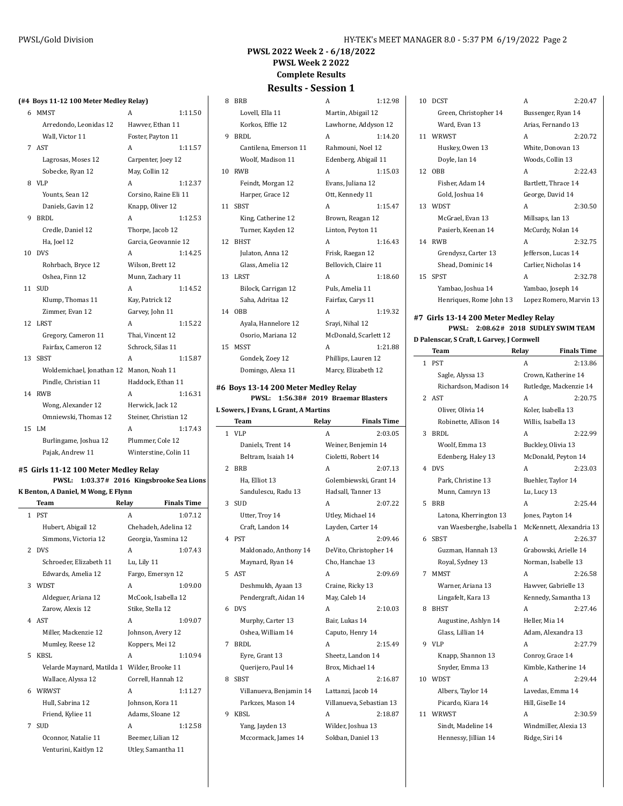#### **PWSL 2022 Week 2 - 6/18/2022 PWSL Week 2 2022 Complete Results Results - Session 1**

#### **(#4 Boys 11-12 100 Meter Medley Relay)**

| 6  | <b>MMST</b>               | А                     | 1:11.50 |
|----|---------------------------|-----------------------|---------|
|    | Arredondo, Leonidas 12    | Hawver, Ethan 11      |         |
|    | Wall, Victor 11           | Foster, Payton 11     |         |
| 7  | AST                       | A                     | 1:11.57 |
|    | Lagrosas, Moses 12        | Carpenter, Joey 12    |         |
|    | Sobecke, Ryan 12          | May, Collin 12        |         |
| 8  | VLP                       | A                     | 1:12.37 |
|    | Younts, Sean 12           | Corsino, Raine Eli 11 |         |
|    | Daniels, Gavin 12         | Knapp, Oliver 12      |         |
| 9  | BRDI.                     | A                     | 1:12.53 |
|    | Credle, Daniel 12         | Thorpe, Jacob 12      |         |
|    | Ha, Joel 12               | Garcia, Geovannie 12  |         |
| 10 | <b>DVS</b>                | A                     | 1:14.25 |
|    | Rohrbach, Bryce 12        | Wilson, Brett 12      |         |
|    | Oshea, Finn 12            | Munn, Zachary 11      |         |
| 11 | <b>SUD</b>                | A                     | 1:14.52 |
|    | Klump, Thomas 11          | Kay, Patrick 12       |         |
|    | Zimmer, Evan 12           | Garvey, John 11       |         |
| 12 | LRST                      | A                     | 1:15.22 |
|    | Gregory, Cameron 11       | Thai, Vincent 12      |         |
|    | Fairfax, Cameron 12       | Schrock, Silas 11     |         |
| 13 | <b>SBST</b>               | A                     | 1:15.87 |
|    | Woldemichael, Jonathan 12 | Manon, Noah 11        |         |
|    | Pindle, Christian 11      | Haddock, Ethan 11     |         |
| 14 | RWB                       | A                     | 1:16.31 |
|    | Wong, Alexander 12        | Herwick, Jack 12      |         |
|    | Omniewski, Thomas 12      | Steiner, Christian 12 |         |
| 15 | I.M                       | A                     | 1:17.43 |
|    | Burlingame, Joshua 12     | Plummer, Cole 12      |         |
|    | Pajak, Andrew 11          | Winterstine, Colin 11 |         |

**#5 Girls 11-12 100 Meter Medley Relay**

**K Benton, A Daniel, M Wong, E Flynn**

**PWSL: 1:03.37# 2016 Kingsbrooke Sea Lions**

**Team Relay Finals Time** 1 PST A 1:07.12 Hubert, Abigail 12 Chehadeh, Adelina 12 Simmons, Victoria 12 Georgia, Yasmina 12 2 DVS A 1:07.43 Schroeder, Elizabeth 11 Lu, Lily 11 Edwards, Amelia 12 Fargo, Emersyn 12 3 WDST A 1:09.00 Aldeguer, Ariana 12 McCook, Isabella 12 Zarow, Alexis 12 Stike, Stella 12 4 AST A 1:09.07 Miller, Mackenzie 12 Johnson, Avery 12 Mumley, Reese 12 Koppers, Mei 12 5 KBSL A 1:10.94 Velarde Maynard, Matilda 1 Wilder, Brooke 11 Wallace, Alyssa 12 Correll, Hannah 12 6 WRWST A 1:11.27 Hull, Sabrina 12 Johnson, Kora 11 Friend, Kyliee 11 Adams, Sloane 12 7 SUD A 1:12.58 Oconnor, Natalie 11 Beemer, Lilian 12 Venturini, Kaitlyn 12 Utley, Samantha 11

#### 9 BRDL Cantilena, Emerson 11 Woolf, Madison 11 10 RWB Feindt, Morgan 12 Harper, Grace 12 11 SBST King, Catherine 12 Turner, Kayden 12 12 BHST Julaton, Anna 12 Glass, Amelia 12 13 LRST Bilock, Carrigan 12 Saha, Adritaa 12 14 OBB Ayala, Hannelore 12 Osorio, Mariana 12 15 MSST Gondek, Zoey 12 Phillips, Domingo, Alexa 11 Marcy, Elizabeth 12

#### **#6 Boys 13-14 200 Meter Medley Relay PWSL: 1:56.38# 2019 Braemar Blasters**

#### **L Sowers, J Evans, L Grant, A Martins**

|   | Team                    | Relay            | <b>Finals Time</b>       |
|---|-------------------------|------------------|--------------------------|
| 1 | <b>VLP</b>              | А                | 2:03.05                  |
|   | Daniels, Trent 14       |                  | Weiner, Benjemin 14      |
|   | Beltram, Isaiah 14      |                  | Cioletti, Robert 14      |
| 2 | <b>BRB</b>              | А                | 2:07.13                  |
|   | Ha, Elliot 13           |                  | Golembiewski, Grant 14   |
|   | Sandulescu, Radu 13     |                  | Hadsall, Tanner 13       |
| 3 | <b>SUD</b>              | A                | 2:07.22                  |
|   | Utter, Troy 14          |                  | Utley, Michael 14        |
|   | Craft, Landon 14        |                  | Layden, Carter 14        |
| 4 | <b>PST</b>              | А                | 2:09.46                  |
|   | Maldonado, Anthony 14   |                  | DeVito, Christopher 14   |
|   | Maynard, Ryan 14        |                  | Cho, Hanchae 13          |
| 5 | <b>AST</b>              | A                | 2:09.69                  |
|   | Deshmukh, Ayaan 13      | Craine, Ricky 13 |                          |
|   | Pendergraft, Aidan 14   | May, Caleb 14    |                          |
| 6 | <b>DVS</b>              | А                | 2:10.03                  |
|   | Murphy, Carter 13       | Bair, Lukas 14   |                          |
|   | Oshea, William 14       |                  | Caputo, Henry 14         |
| 7 | BRDL                    | A                | 2:15.49                  |
|   | Eyre, Grant 13          |                  | Sheetz, Landon 14        |
|   | Querijero, Paul 14      |                  | Brox, Michael 14         |
| 8 | <b>SBST</b>             | А                | 2:16.87                  |
|   | Villanueva, Benjamin 14 |                  | Lattanzi, Jacob 14       |
|   | Parkzes, Mason 14       |                  | Villanueva, Sebastian 13 |
| 9 | KBSL                    | A                | 2:18.87                  |
|   | Yang, Jayden 13         |                  | Wilder, Joshua 13        |
|   | Mccormack, James 14     |                  | Sokban, Daniel 13        |

| 8              | <b>BRB</b>            | A                     | 1:12.98 |
|----------------|-----------------------|-----------------------|---------|
|                | Lovell, Ella 11       | Martin, Abigail 12    |         |
|                | Korkos, Effie 12      | Lawhorne, Addyson 12  |         |
| 9              | <b>BRDL</b>           | A                     | 1:14.20 |
|                | Cantilena, Emerson 11 | Rahmouni, Noel 12     |         |
|                | Woolf, Madison 11     | Edenberg, Abigail 11  |         |
| $\overline{0}$ | <b>RWB</b>            | A                     | 1:15.03 |
|                | Feindt, Morgan 12     | Evans, Juliana 12     |         |
|                | Harper, Grace 12      | Ott, Kennedy 11       |         |
| $\overline{1}$ | <b>SBST</b>           | A                     | 1:15.47 |
|                | King, Catherine 12    | Brown, Reagan 12      |         |
|                | Turner, Kayden 12     | Linton, Peyton 11     |         |
| <sup>2</sup>   | <b>BHST</b>           | A                     | 1:16.43 |
|                | Julaton, Anna 12      | Frisk, Raegan 12      |         |
|                | Glass, Amelia 12      | Bellovich, Claire 11  |         |
| 13             | <b>LRST</b>           | A                     | 1:18.60 |
|                | Bilock, Carrigan 12   | Puls, Amelia 11       |         |
|                | Saha, Adritaa 12      | Fairfax, Carys 11     |         |
| $\overline{4}$ | <b>OBB</b>            | A                     | 1:19.32 |
|                | Ayala, Hannelore 12   | Srayi, Nihal 12       |         |
|                | Osorio, Mariana 12    | McDonald, Scarlett 12 |         |
| 15             | <b>MSST</b>           | A                     | 1:21.88 |
|                | Gondek Zoev 12        | Phillins Lauren 12    |         |

|    | Green, Christopher 14   | Bussenger, Ryan 14      |         |
|----|-------------------------|-------------------------|---------|
|    | Ward, Evan 13           | Arias, Fernando 13      |         |
| 11 | WRWST                   | A                       | 2:20.72 |
|    | Huskey, Owen 13         | White, Donovan 13       |         |
|    | Doyle, Ian 14           | Woods, Collin 13        |         |
|    | 12 ORR                  | A                       | 2:22.43 |
|    | Fisher, Adam 14         | Bartlett, Thrace 14     |         |
|    | Gold, Joshua 14         | George, David 14        |         |
|    | 13 WDST                 | A                       | 2:30.50 |
|    | McGrael, Evan 13        | Millsaps, Ian 13        |         |
|    | Pasierb, Keenan 14      | McCurdy, Nolan 14       |         |
| 14 | RWR                     | A                       | 2:32.75 |
|    | Grendysz, Carter 13     | Jefferson, Lucas 14     |         |
|    | Shead, Dominic 14       | Carlier, Nicholas 14    |         |
|    | 15 SPST                 | A                       | 2:32.78 |
|    | Yambao, Joshua 14       | Yambao, Joseph 14       |         |
|    | Henriques, Rome John 13 | Lopez Romero, Marvin 13 |         |

10 DCST A 2:20.47

# **#7 Girls 13-14 200 Meter Medley Relay PWSL: 2:08.62# 2018 SUDLEY SWIM TEAM**

# **D Palenscar, S Craft, L Garvey, J Cornwell**

|              | Team                       | Relay            | <b>Finals Time</b>       |
|--------------|----------------------------|------------------|--------------------------|
| 1            | <b>PST</b>                 | A                | 2:13.86                  |
|              | Sagle, Alyssa 13           |                  | Crown, Katherine 14      |
|              | Richardson, Madison 14     |                  | Rutledge, Mackenzie 14   |
| $\mathbf{2}$ | <b>AST</b>                 | A                | 2:20.75                  |
|              | Oliver, Olivia 14          |                  | Koler, Isabella 13       |
|              | Robinette, Allison 14      |                  | Willis, Isabella 13      |
| 3            | <b>BRDL</b>                | A                | 2:22.99                  |
|              | Woolf, Emma 13             |                  | Buckley, Olivia 13       |
|              | Edenberg, Haley 13         |                  | McDonald, Peyton 14      |
| 4            | <b>DVS</b>                 | A                | 2:23.03                  |
|              | Park, Christine 13         |                  | Buehler, Taylor 14       |
|              | Munn, Camryn 13            | Lu, Lucy 13      |                          |
| 5            | <b>BRB</b>                 | A                | 2:25.44                  |
|              | Latona, Kherrington 13     | Jones, Payton 14 |                          |
|              | van Waesberghe, Isabella 1 |                  | McKennett, Alexandria 13 |
| 6            | <b>SBST</b>                | A                | 2:26.37                  |
|              | Guzman, Hannah 13          |                  | Grabowski, Arielle 14    |
|              | Royal, Sydney 13           |                  | Norman, Isabelle 13      |
| 7            | MMST                       | A                | 2:26.58                  |
|              | Warner, Ariana 13          |                  | Hawver, Gabrielle 13     |
|              | Lingafelt, Kara 13         |                  | Kennedy, Samantha 13     |
| 8            | <b>BHST</b>                | A                | 2:27.46                  |
|              | Augustine, Ashlyn 14       | Heller, Mia 14   |                          |
|              | Glass, Lillian 14          |                  | Adam. Alexandra 13       |
| 9            | <b>VLP</b>                 | A                | 2:27.79                  |
|              | Knapp, Shannon 13          |                  | Conroy, Grace 14         |
|              | Snyder, Emma 13            |                  | Kimble, Katherine 14     |
| 10           | WDST                       | A                | 2:29.44                  |
|              | Albers, Taylor 14          |                  | Lavedas, Emma 14         |
|              | Picardo, Kiara 14          | Hill, Giselle 14 |                          |
| 11           | WRWST                      | A                | 2:30.59                  |
|              | Sindt, Madeline 14         |                  | Windmiller, Alexia 13    |
|              | Hennessy, Jillian 14       | Ridge, Siri 14   |                          |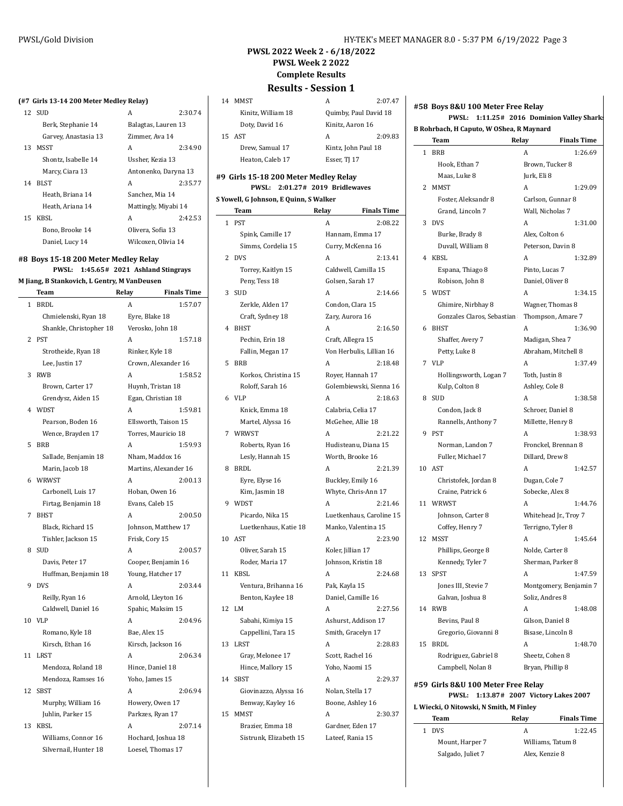$2:07.47$ 

2:09.83

# **PWSL 2022 Week 2 - 6/18/2022 PWSL Week 2 2022 Complete Results Results - Session 1**

#### **(#7 Girls 13-14 200 Meter Medley Relay)**

|    | 12 SUD               | А                    | 2:30.74 |
|----|----------------------|----------------------|---------|
|    | Berk, Stephanie 14   | Balagtas, Lauren 13  |         |
|    | Garvey, Anastasia 13 | Zimmer, Ava 14       |         |
| 13 | <b>MSST</b>          | A                    | 2:34.90 |
|    | Shontz, Isabelle 14  | Ussher, Kezia 13     |         |
|    | Marcy, Ciara 13      | Antonenko, Daryna 13 |         |
| 14 | BLST                 | A                    | 2:35.77 |
|    | Heath, Briana 14     | Sanchez, Mia 14      |         |
|    | Heath, Ariana 14     | Mattingly, Miyabi 14 |         |
| 15 | KBSL                 | A                    | 2:42.53 |
|    | Bono. Brooke 14      | Olivera, Sofia 13    |         |
|    | Daniel, Lucy 14      | Wilcoxen, Olivia 14  |         |

# **#8 Boys 15-18 200 Meter Medley Relay**

#### **PWSL: 1:45.65# 2021 Ashland Stingrays M Jiang, B Stankovich, L Gentry, M VanDeusen**

| м напе, в зданкомен, в бени у, м vandeusen |       |                    |  |
|--------------------------------------------|-------|--------------------|--|
| Team                                       | Relav | <b>Finals Time</b> |  |

| 1  | <b>BRDL</b>             | A                     | 1:57.07 |
|----|-------------------------|-----------------------|---------|
|    | Chmielenski, Ryan 18    | Eyre, Blake 18        |         |
|    | Shankle, Christopher 18 | Verosko, John 18      |         |
| 2  | <b>PST</b>              | A                     | 1:57.18 |
|    | Strotheide, Ryan 18     | Rinker, Kyle 18       |         |
|    | Lee, Justin 17          | Crown, Alexander 16   |         |
| 3  | <b>RWB</b>              | Α                     | 1:58.52 |
|    | Brown, Carter 17        | Huynh, Tristan 18     |         |
|    | Grendysz, Aiden 15      | Egan, Christian 18    |         |
| 4  | WDST                    | Α                     | 1:59.81 |
|    | Pearson, Boden 16       | Ellsworth, Taison 15  |         |
|    | Wence, Brayden 17       | Torres, Mauricio 18   |         |
| 5  | BRB                     | А                     | 1:59.93 |
|    | Sallade, Benjamin 18    | Nham, Maddox 16       |         |
|    | Marin, Jacob 18         | Martins, Alexander 16 |         |
| 6  | WRWST                   | А                     | 2:00.13 |
|    | Carbonell, Luis 17      | Hoban, Owen 16        |         |
|    | Firtag, Benjamin 18     | Evans, Caleb 15       |         |
| 7  | <b>BHST</b>             | A                     | 2:00.50 |
|    | Black, Richard 15       | Johnson, Matthew 17   |         |
|    | Tishler, Jackson 15     | Frisk, Cory 15        |         |
| 8  | <b>SUD</b>              | А                     | 2:00.57 |
|    | Davis, Peter 17         | Cooper, Benjamin 16   |         |
|    | Huffman, Benjamin 18    | Young, Hatcher 17     |         |
| 9  | <b>DVS</b>              | A                     | 2:03.44 |
|    | Reilly, Ryan 16         | Arnold, Lleyton 16    |         |
|    | Caldwell, Daniel 16     | Spahic, Maksim 15     |         |
| 10 | <b>VLP</b>              | Α                     | 2:04.96 |
|    | Romano, Kyle 18         | Bae, Alex 15          |         |
|    | Kirsch, Ethan 16        | Kirsch, Jackson 16    |         |
| 11 | LRST                    | Α                     | 2:06.34 |
|    | Mendoza, Roland 18      | Hince, Daniel 18      |         |
|    | Mendoza, Ramses 16      | Yoho, James 15        |         |
| 12 | <b>SBST</b>             | А                     | 2:06.94 |
|    | Murphy, William 16      | Howery, Owen 17       |         |
|    | Juhlin, Parker 15       | Parkzes, Ryan 17      |         |
| 13 | KBSL                    | A                     | 2:07.14 |
|    | Williams, Connor 16     | Hochard, Joshua 18    |         |
|    | Silvernail, Hunter 18   | Loesel, Thomas 17     |         |
|    |                         |                       |         |

| 14 MMST            |                     | 2:07.4                |
|--------------------|---------------------|-----------------------|
| Kinitz, William 18 |                     | Quimby, Paul David 18 |
| Doty, David 16     | Kinitz, Aaron 16    |                       |
| 15 AST             | А                   | 2:09.8                |
| Drew, Samual 17    | Kintz, John Paul 18 |                       |
| Heaton, Caleb 17   | Esser, TJ 17        |                       |

#### **#9 Girls 15-18 200 Meter Medley Relay PWSL: 2:01.27# 2019 Bridlewaves**

# **S Yowell, G Johnson, E Quinn, S Walker**

|                | TOWEIL, O JOHNSON, E QUIHII, 3 WAIKEI<br>Team | Relay         | <b>Finals Time</b>       |
|----------------|-----------------------------------------------|---------------|--------------------------|
| 1              | <b>PST</b>                                    | A             | 2:08.22                  |
|                | Spink, Camille 17                             |               | Hannam, Emma 17          |
|                | Simms, Cordelia 15                            |               | Curry, McKenna 16        |
| 2              | <b>DVS</b>                                    | A             | 2:13.41                  |
|                | Torrey, Kaitlyn 15                            |               | Caldwell, Camilla 15     |
|                | Peny, Tess 18                                 |               | Golsen, Sarah 17         |
| 3              | SUD                                           | A             | 2:14.66                  |
|                | Zerkle, Alden 17                              |               | Condon, Clara 15         |
|                | Craft, Sydney 18                              |               | Zary, Aurora 16          |
| $\overline{4}$ | <b>BHST</b>                                   | A             | 2:16.50                  |
|                | Pechin, Erin 18                               |               | Craft, Allegra 15        |
|                | Fallin, Megan 17                              |               | Von Herbulis, Lillian 16 |
| 5              | <b>BRB</b>                                    | A             | 2:18.48                  |
|                | Korkos, Christina 15                          |               | Royer, Hannah 17         |
|                | Roloff, Sarah 16                              |               | Golembiewski, Sienna 16  |
| 6              | VLP                                           | A             | 2:18.63                  |
|                | Knick, Emma 18                                |               | Calabria, Celia 17       |
|                | Martel, Alyssa 16                             |               | McGehee, Allie 18        |
| 7              | WRWST                                         | A             | 2:21.22                  |
|                | Roberts, Ryan 16                              |               | Hudisteanu, Diana 15     |
|                | Lesly, Hannah 15                              |               | Worth, Brooke 16         |
| 8              | BRDL                                          | A             | 2:21.39                  |
|                | Eyre, Elyse 16                                |               | Buckley, Emily 16        |
|                | Kim, Jasmin 18                                |               | Whyte, Chris-Ann 17      |
| 9              | WDST                                          | A             | 2:21.46                  |
|                | Picardo, Nika 15                              |               | Luetkenhaus, Caroline 15 |
|                | Luetkenhaus, Katie 18                         |               | Manko, Valentina 15      |
| 10             | AST                                           | A             | 2:23.90                  |
|                | Oliver, Sarah 15                              |               | Koler, Jillian 17        |
|                | Roder, Maria 17                               |               | Johnson, Kristin 18      |
| 11             | <b>KBSL</b>                                   | А             | 2:24.68                  |
|                | Ventura, Brihanna 16                          | Pak, Kayla 15 |                          |
|                | Benton, Kaylee 18                             |               | Daniel, Camille 16       |
| 12             | LM                                            | А             | 2:27.56                  |
|                | Sabahi, Kimiya 15                             |               | Ashurst, Addison 17      |
|                | Cappellini, Tara 15                           |               | Smith, Gracelyn 17       |
| 13             | LRST                                          | A             | 2:28.83                  |
|                | Gray, Melonee 17                              |               | Scott, Rachel 16         |
|                | Hince, Mallory 15                             |               | Yoho, Naomi 15           |
| 14             | <b>SBST</b>                                   | A             | 2:29.37                  |
|                | Giovinazzo, Alyssa 16                         |               | Nolan, Stella 17         |
|                | Benway, Kayley 16                             |               | Boone, Ashley 16         |
| 15             | MMST                                          | A             | 2:30.37                  |
|                | Brazier, Emma 18                              |               | Gardner, Eden 17         |
|                | Sistrunk, Elizabeth 15                        |               | Lateef, Rania 15         |
|                |                                               |               |                          |

#### **#58 Boys 8&U 100 Meter Free Relay PWSL: 1:11.25# 2016 Dominion Valley Sharks**

**B Rohrbach, H Caputo, W OShea, R Maynard**

|    | Team                                    | Relay            | <b>Finals Time</b>               |
|----|-----------------------------------------|------------------|----------------------------------|
| 1  | <b>BRB</b>                              | A                | 1:26.69                          |
|    | Hook, Ethan 7                           |                  | Brown, Tucker 8                  |
|    | Maas, Luke 8                            | Jurk, Eli 8      |                                  |
| 2  | <b>MMST</b>                             | A                | 1:29.09                          |
|    | Foster, Aleksandr 8                     |                  | Carlson, Gunnar 8                |
|    | Grand, Lincoln 7                        |                  | Wall, Nicholas 7                 |
| 3  | <b>DVS</b>                              | A                | 1:31.00                          |
|    | Burke, Brady 8                          | Alex, Colton 6   |                                  |
|    | Duvall, William 8                       |                  | Peterson, Davin 8                |
| 4  | <b>KBSL</b>                             | A                | 1:32.89                          |
|    | Espana, Thiago 8                        | Pinto, Lucas 7   |                                  |
|    | Robison, John 8                         | Daniel, Oliver 8 |                                  |
| 5  | WDST                                    | A                | 1:34.15                          |
|    | Ghimire, Nirbhay 8                      |                  | Wagner, Thomas 8                 |
|    | Gonzales Claros, Sebastian              |                  | Thompson, Amare 7                |
| 6  | <b>BHST</b>                             | A                | 1:36.90                          |
|    | Shaffer, Avery 7                        |                  | Madigan, Shea 7                  |
|    | Petty, Luke 8                           |                  | Abraham, Mitchell 8              |
| 7  | VLP                                     | A                | 1:37.49                          |
|    | Hollingsworth, Logan 7                  | Toth, Justin 8   |                                  |
|    | Kulp, Colton 8                          | Ashley, Cole 8   |                                  |
| 8  | <b>SUD</b>                              | A                | 1:38.58                          |
|    | Condon, Jack 8                          |                  | Schroer, Daniel 8                |
|    | Rannells, Anthony 7                     |                  | Millette, Henry 8                |
| 9  | <b>PST</b>                              | A                | 1:38.93                          |
|    | Norman, Landon 7                        |                  | Fronckel, Brennan 8              |
|    | Fuller, Michael 7                       | Dillard, Drew 8  |                                  |
| 10 | AST                                     | A                | 1:42.57                          |
|    | Christofek, Jordan 8                    | Dugan, Cole 7    |                                  |
|    | Craine, Patrick 6                       | Sobecke, Alex 8  |                                  |
|    | 11 WRWST                                | A                | 1:44.76                          |
|    | Johnson, Carter 8                       |                  | Whitehead Jr., Troy 7            |
|    | Coffey, Henry 7                         |                  | Terrigno, Tyler 8                |
| 12 | MSST                                    | A                | 1:45.64                          |
|    | Phillips, George 8                      | Nolde, Carter 8  |                                  |
|    | Kennedy, Tyler 7                        |                  | Sherman, Parker 8                |
| 13 | <b>SPST</b>                             | A                | 1:47.59                          |
|    | Jones III, Stevie 7                     |                  | Montgomery, Benjamin 7           |
|    | Galvan, Joshua 8                        | Soliz, Andres 8  |                                  |
| 14 | <b>RWB</b>                              | A                | 1:48.08                          |
|    | Bevins, Paul 8                          |                  | Gilson, Daniel 8                 |
|    | Gregorio, Giovanni 8                    |                  | Bisase, Lincoln 8                |
| 15 | <b>BRDL</b>                             | A                | 1:48.70                          |
|    | Rodriguez, Gabriel 8                    |                  | Sheetz, Cohen 8                  |
|    | Campbell, Nolan 8                       | Bryan, Phillip 8 |                                  |
|    | #59 Girls 8&U 100 Meter Free Relay      |                  |                                  |
|    | <b>PWSL:</b>                            |                  | 1:13.87# 2007 Victory Lakes 2007 |
|    | L Wiecki, O Nitowski, N Smith, M Finley |                  |                                  |
|    | Team                                    | Relay            | <b>Finals Time</b>               |

| 1 DVS             |                   | 1:22.45 |
|-------------------|-------------------|---------|
| Mount, Harper 7   | Williams. Tatum 8 |         |
| Salgado, Juliet 7 | Alex, Kenzie 8    |         |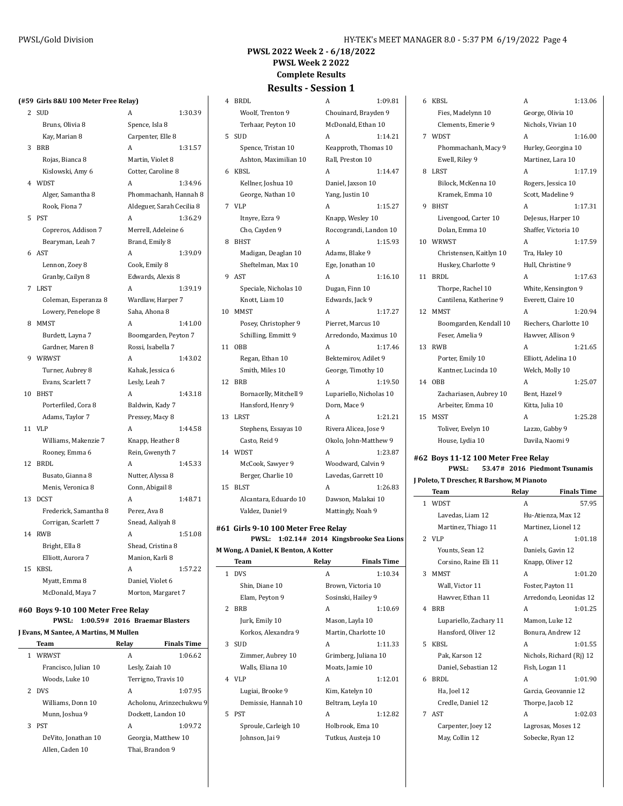#### **PWSL 2022 Week 2 - 6/18/2022 PWSL Week 2 2022 Complete Results Results - Session 1**

#### **(#59 Girls 8&U 100 Meter Free Relay)**

| 2              | <b>SUD</b>            | A                         | 1:30.39 |
|----------------|-----------------------|---------------------------|---------|
|                | Bruns, Olivia 8       | Spence, Isla 8            |         |
|                | Kay, Marian 8         | Carpenter, Elle 8         |         |
| 3              | <b>BRB</b>            | Α                         | 1:31.57 |
|                | Rojas, Bianca 8       | Martin, Violet 8          |         |
|                | Kislowski, Amy 6      | Cotter, Caroline 8        |         |
| $\overline{4}$ | WDST                  | A                         | 1:34.96 |
|                | Alger, Samantha 8     | Phommachanh, Hannah 8     |         |
|                | Rook, Fiona 7         | Aldeguer, Sarah Cecilia 8 |         |
| 5              | <b>PST</b>            | A                         | 1:36.29 |
|                | Copreros, Addison 7   | Merrell, Adeleine 6       |         |
|                | Bearyman, Leah 7      | Brand, Emily 8            |         |
| 6              | AST                   | Α                         | 1:39.09 |
|                | Lennon, Zoey 8        | Cook, Emily 8             |         |
|                | Granby, Cailyn 8      | Edwards, Alexis 8         |         |
| 7              | LRST                  | A                         | 1:39.19 |
|                | Coleman, Esperanza 8  | Wardlaw, Harper 7         |         |
|                | Lowery, Penelope 8    | Saha, Ahona 8             |         |
| 8              | <b>MMST</b>           | A                         | 1:41.00 |
|                | Burdett, Layna 7      | Boomgarden, Peyton 7      |         |
|                | Gardner, Maren 8      | Rossi, Isabella 7         |         |
| 9              | WRWST                 | Α                         | 1:43.02 |
|                | Turner, Aubrey 8      | Kahak, Jessica 6          |         |
|                | Evans, Scarlett 7     | Lesly, Leah 7             |         |
| 10             | <b>BHST</b>           | Α                         | 1:43.18 |
|                | Porterfiled, Cora 8   | Baldwin, Kady 7           |         |
|                | Adams, Taylor 7       | Pressey, Macy 8           |         |
| 11             | <b>VLP</b>            | Α                         | 1:44.58 |
|                | Williams, Makenzie 7  | Knapp, Heather 8          |         |
|                | Rooney, Emma 6        | Rein, Gwenyth 7           |         |
| 12             | <b>BRDL</b>           | A                         | 1:45.33 |
|                | Busato, Gianna 8      | Nutter, Alyssa 8          |         |
|                | Menis, Veronica 8     | Conn, Abigail 8           |         |
| 13             | <b>DCST</b>           | A                         | 1:48.71 |
|                | Frederick, Samantha 8 | Perez, Ava 8              |         |
|                | Corrigan, Scarlett 7  | Snead, Aaliyah 8          |         |
| 14             | RWB                   | A                         | 1:51.08 |
|                | Bright, Ella 8        | Shead, Cristina 8         |         |
|                | Elliott, Aurora 7     | Manion, Karli 8           |         |
| 15             | <b>KBSL</b>           | Α                         | 1:57.22 |
|                | Myatt, Emma 8         | Daniel, Violet 6          |         |
|                | McDonald, Maya 7      | Morton, Margaret 7        |         |

# **#60 Boys 9-10 100 Meter Free Relay**

#### **PWSL: 1:00.59# 2016 Braemar Blasters J Evans, M Santee, A Martins, M Mullen**

|             | Team                 | Relay               | <b>Finals Time</b>       |
|-------------|----------------------|---------------------|--------------------------|
| 1           | WRWST                | А                   | 1:06.62                  |
|             | Francisco, Julian 10 | Lesly, Zaiah 10     |                          |
|             | Woods. Luke 10       | Terrigno, Travis 10 |                          |
| $2^{\circ}$ | <b>DVS</b>           | A                   | 1:07.95                  |
|             | Williams, Donn 10    |                     | Acholonu, Arinzechukwu 9 |
|             | Munn, Joshua 9       | Dockett, Landon 10  |                          |
| 3           | <b>PST</b>           | A                   | 1:09.72                  |
|             | DeVito, Jonathan 10  | Georgia, Matthew 10 |                          |
|             | Allen. Caden 10      | Thai. Brandon 9     |                          |
|             |                      |                     |                          |

# 4 BRDL <br>A 1:09.81 <br>

|    | Woolf, Trenton 9       | Chouinard, Brayden 9    |
|----|------------------------|-------------------------|
|    | Terhaar, Peyton 10     | McDonald, Ethan 10      |
| 5  | SUD                    | A<br>1:14.21            |
|    | Spence, Tristan 10     | Keapproth, Thomas 10    |
|    | Ashton, Maximilian 10  | Rall, Preston 10        |
| 6  | KBSL                   | 1:14.47<br>A            |
|    | Kellner, Joshua 10     | Daniel, Jaxson 10       |
|    | George, Nathan 10      | Yang, Justin 10         |
| 7  | VLP                    | 1:15.27<br>A            |
|    | Itnyre, Ezra 9         | Knapp, Wesley 10        |
|    | Cho, Cayden 9          | Roccograndi, Landon 10  |
| 8  | <b>BHST</b>            | 1:15.93<br>A            |
|    | Madigan, Deaglan 10    | Adams, Blake 9          |
|    | Sheftelman, Max 10     | Ege, Jonathan 10        |
| 9  | <b>AST</b>             | 1:16.10<br>А            |
|    | Speciale, Nicholas 10  | Dugan, Finn 10          |
|    | Knott, Liam 10         | Edwards, Jack 9         |
| 10 | <b>MMST</b>            | 1:17.27<br>A            |
|    | Posey, Christopher 9   | Pierret, Marcus 10      |
|    | Schilling, Emmitt 9    | Arredondo, Maximus 10   |
| 11 | <b>OBB</b>             | A<br>1:17.46            |
|    | Regan, Ethan 10        | Bektemirov, Adilet 9    |
|    | Smith, Miles 10        | George, Timothy 10      |
| 12 | <b>BRB</b>             | 1:19.50<br>A            |
|    | Bornacelly, Mitchell 9 | Lupariello, Nicholas 10 |
|    | Hansford, Henry 9      | Dorn, Mace 9            |
| 13 | LRST                   | A<br>1:21.21            |
|    | Stephens, Essayas 10   | Rivera Alicea, Jose 9   |
|    | Casto, Reid 9          | Okolo, John-Matthew 9   |
| 14 | WDST                   | 1:23.87<br>A            |
|    | McCook, Sawyer 9       | Woodward, Calvin 9      |
|    | Berger, Charlie 10     | Lavedas, Garrett 10     |
| 15 | <b>BLST</b>            | A<br>1:26.83            |
|    | Alcantara, Eduardo 10  | Dawson, Malakai 10      |
|    | Valdez, Daniel 9       | Mattingly, Noah 9       |
|    |                        |                         |

#### **#61 Girls 9-10 100 Meter Free Relay**

|                                      |  | PWSL: 1:02.14# 2014 Kingsbrooke Sea Lions |
|--------------------------------------|--|-------------------------------------------|
| M Wong, A Daniel, K Benton, A Kotter |  |                                           |

|               | Team                 | Relay              | <b>Finals Time</b>   |
|---------------|----------------------|--------------------|----------------------|
|               | 1 DVS                | A                  | 1:10.34              |
|               | Shin, Diane 10       | Brown, Victoria 10 |                      |
|               | Elam, Pevton 9       | Sosinski, Hailey 9 |                      |
| $\mathcal{L}$ | <b>BRB</b>           | A                  | 1:10.69              |
|               | Jurk, Emily 10       | Mason, Layla 10    |                      |
|               | Korkos, Alexandra 9  |                    | Martin, Charlotte 10 |
| 3             | <b>SUD</b>           | A                  | 1:11.33              |
|               | Zimmer, Aubrey 10    |                    | Grimberg, Juliana 10 |
|               | Walls, Eliana 10     | Moats, Jamie 10    |                      |
|               | 4 VLP                | A                  | 1:12.01              |
|               | Lugiai, Brooke 9     | Kim, Katelyn 10    |                      |
|               | Demissie, Hannah 10  | Beltram, Leyla 10  |                      |
| 5.            | <b>PST</b>           | A                  | 1:12.82              |
|               | Sproule, Carleigh 10 | Holbrook, Ema 10   |                      |
|               | Johnson, Jai 9       | Tutkus, Austeja 10 |                      |
|               |                      |                    |                      |

| A                       | 1.09.9T |  |
|-------------------------|---------|--|
| Chouinard, Brayden 9    |         |  |
| McDonald, Ethan 10      |         |  |
| A                       | 1:14.21 |  |
| Keapproth, Thomas 10    |         |  |
| Rall, Preston 10        |         |  |
| A                       | 1:14.47 |  |
| Daniel, Jaxson 10       |         |  |
| Yang, Justin 10         |         |  |
| A                       | 1:15.27 |  |
| Knapp, Wesley 10        |         |  |
| Roccograndi, Landon 10  |         |  |
| A                       | 1:15.93 |  |
| Adams, Blake 9          |         |  |
| Ege, Jonathan 10        |         |  |
| A                       | 1:16.10 |  |
| Dugan, Finn 10          |         |  |
| Edwards, Jack 9         |         |  |
| A                       | 1:17.27 |  |
| Pierret, Marcus 10      |         |  |
| Arredondo, Maximus 10   |         |  |
| A                       | 1:17.46 |  |
| Bektemirov, Adilet 9    |         |  |
| George, Timothy 10      |         |  |
| A                       | 1:19.50 |  |
| Lupariello, Nicholas 10 |         |  |
| Dorn, Mace 9            |         |  |
| A                       | 1:21.21 |  |
| Rivera Alicea, Jose 9   |         |  |
| Okolo, John-Matthew 9   |         |  |
| A                       | 1:23.87 |  |
| Woodward, Calvin 9      |         |  |
| Lavedas, Garrett 10     |         |  |
| A                       | 1:26.83 |  |
| Dawson, Malakai 10      |         |  |
| Mattingly, Noah 9       |         |  |

Fies, Madelynn 10 George, Olivia 10 Clements, Emerie 9 Nichols, Vivian 10 Ewell, Riley 9 Martinez, Lara 10 Bilock, McKenna 10 Rogers, Jessica 10 Kramek, Emma 10 Scott, Madeline 9 Livengood, Carter 10 DeJesus, Harper 10 Dolan, Emma 10 Shaffer, Victoria 10 Christensen, Kaitlyn 10 Tra, Haley 10 Huskey, Charlotte 9 Hull, Christine 9 Thorpe, Rachel 10 White, Kensington 9 Cantilena, Katherine 9 Everett, Claire 10 Feser, Amelia 9 Hawver, Allison 9 Porter, Emily 10 Elliott, Adelina 10 Kantner, Lucinda 10 Welch, Molly 10 Zachariasen, Aubrey 10 Bent, Hazel 9 Arbeiter, Emma 10 Kitta, Julia 10

 KBSL A 1:13.06 WDST A 1:16.00 Phommachanh, Macy 9 Hurley, Georgina 10 LRST A 1:17.19 BHST A 1:17.31 WRWST A 1:17.59 BRDL A 1:17.63 12 MMST A 1:20.94 Boomgarden, Kendall 10 Riechers, Charlotte 10 RWB A 1:21.65 OBB A 1:25.07 15 MSST A 1:25.28 Toliver, Evelyn 10 Lazzo, Gabby 9

# **#62 Boys 11-12 100 Meter Free Relay**

**PWSL: 53.47# 2016 Piedmont Tsunamis J Poleto, T Drescher, R Barshow, M Pianoto**

House, Lydia 10 Davila, Naomi 9

|              | Team                   | Relay          | <b>Finals Time</b>       |
|--------------|------------------------|----------------|--------------------------|
| $\mathbf{1}$ | <b>WDST</b>            | A              | 57.95                    |
|              | Lavedas, Liam 12       |                | Hu-Atienza, Max 12       |
|              | Martinez, Thiago 11    |                | Martinez, Lionel 12      |
|              | $2$ VLP                | A              | 1:01.18                  |
|              | Younts, Sean 12        |                | Daniels, Gavin 12        |
|              | Corsino, Raine Eli 11  |                | Knapp, Oliver 12         |
| 3            | <b>MMST</b>            | A              | 1:01.20                  |
|              | Wall, Victor 11        |                | Foster, Payton 11        |
|              | Hawver, Ethan 11       |                | Arredondo, Leonidas 12   |
| 4            | <b>BRB</b>             | A              | 1:01.25                  |
|              | Lupariello, Zachary 11 |                | Mamon, Luke 12           |
|              | Hansford, Oliver 12    |                | Bonura, Andrew 12        |
| 5            | KBSL                   | A              | 1:01.55                  |
|              | Pak, Karson 12         |                | Nichols, Richard (Ri) 12 |
|              | Daniel, Sebastian 12   | Fish, Logan 11 |                          |
| 6            | BRDL                   | A              | 1:01.90                  |
|              | Ha, Joel 12            |                | Garcia, Geovannie 12     |
|              | Credle, Daniel 12      |                | Thorpe, Jacob 12         |
| 7            | <b>AST</b>             | A              | 1:02.03                  |
|              | Carpenter, Joey 12     |                | Lagrosas, Moses 12       |
|              | May, Collin 12         |                | Sobecke, Ryan 12         |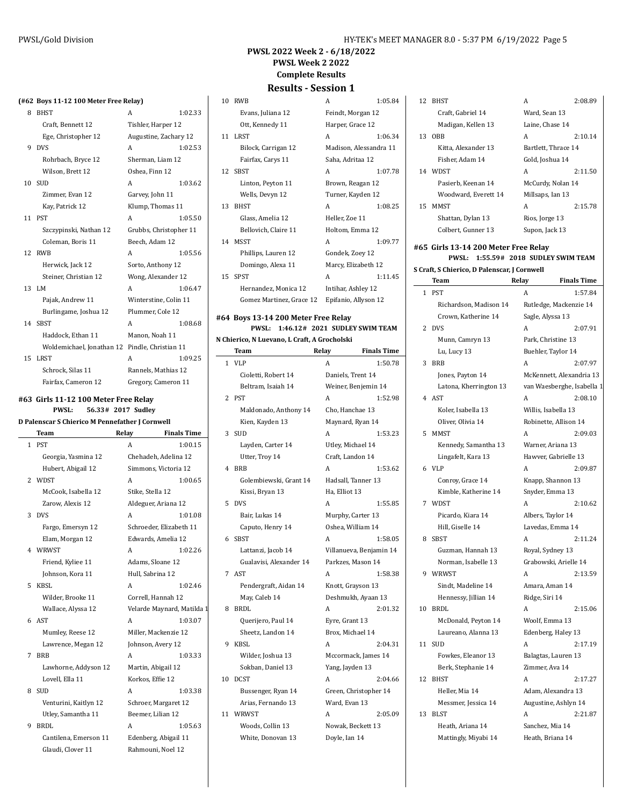# **PWSL 2022 Week 2 - 6/18/2022 PWSL Week 2 2022**

**Complete Results**

# **Results - Session 1**

| (#62 Boys 11-12 100 Meter Free Relay) |  |  |  |  |  |  |  |
|---------------------------------------|--|--|--|--|--|--|--|
|---------------------------------------|--|--|--|--|--|--|--|

| 8  | <b>BHST</b>               | A                      | 1:02.33 |
|----|---------------------------|------------------------|---------|
|    | Craft, Bennett 12         | Tishler, Harper 12     |         |
|    | Ege, Christopher 12       | Augustine, Zachary 12  |         |
| 9  | <b>DVS</b>                | A                      | 1:02.53 |
|    | Rohrbach, Bryce 12        | Sherman, Liam 12       |         |
|    | Wilson, Brett 12          | Oshea, Finn 12         |         |
| 10 | <b>SUD</b>                | A                      | 1:03.62 |
|    | Zimmer, Evan 12           | Garvey, John 11        |         |
|    | Kay, Patrick 12           | Klump, Thomas 11       |         |
|    | 11 PST                    | A                      | 1:05.50 |
|    | Szczypinski, Nathan 12    | Grubbs, Christopher 11 |         |
|    | Coleman, Boris 11         | Beech, Adam 12         |         |
| 12 | <b>RWB</b>                | A                      | 1:05.56 |
|    | Herwick, Jack 12          | Sorto, Anthony 12      |         |
|    | Steiner, Christian 12     | Wong, Alexander 12     |         |
|    | 13 LM                     | A                      | 1:06.47 |
|    | Pajak, Andrew 11          | Winterstine, Colin 11  |         |
|    | Burlingame, Joshua 12     | Plummer, Cole 12       |         |
| 14 | <b>SBST</b>               | A                      | 1:08.68 |
|    | Haddock, Ethan 11         | Manon, Noah 11         |         |
|    | Woldemichael, Jonathan 12 | Pindle, Christian 11   |         |
| 15 | <b>LRST</b>               | A                      | 1:09.25 |
|    | Schrock, Silas 11         | Rannels, Mathias 12    |         |
|    | Fairfax, Cameron 12       | Gregory, Cameron 11    |         |
|    |                           |                        |         |

#### **#63 Girls 11-12 100 Meter Free Relay**

**PWSL: 56.33# 2017 Sudley**

#### **D Palenscar S Chierico M Pennefather J Cornwell Team Relay Finals Time**

|    | Team                  | Relay              | Finals Time                |
|----|-----------------------|--------------------|----------------------------|
|    | 1 PST                 | A                  | 1:00.15                    |
|    | Georgia, Yasmina 12   |                    | Chehadeh, Adelina 12       |
|    | Hubert, Abigail 12    |                    | Simmons, Victoria 12       |
|    | 2 WDST                | A                  | 1:00.65                    |
|    | McCook, Isabella 12   | Stike, Stella 12   |                            |
|    | Zarow, Alexis 12      |                    | Aldeguer, Ariana 12        |
|    | 3 DVS                 | A                  | 1:01.08                    |
|    | Fargo, Emersyn 12     |                    | Schroeder, Elizabeth 11    |
|    | Elam, Morgan 12       |                    | Edwards, Amelia 12         |
|    | 4 WRWST               | A                  | 1:02.26                    |
|    | Friend, Kyliee 11     | Adams, Sloane 12   |                            |
|    | Johnson, Kora 11      | Hull. Sabrina 12   |                            |
| 5. | KBSL                  | A                  | 1:02.46                    |
|    | Wilder, Brooke 11     |                    | Correll, Hannah 12         |
|    | Wallace, Alyssa 12    |                    | Velarde Maynard, Matilda 1 |
|    | 6 AST                 | A                  | 1:03.07                    |
|    | Mumley, Reese 12      |                    | Miller, Mackenzie 12       |
|    | Lawrence, Megan 12    | Johnson, Avery 12  |                            |
| 7  | <b>BRB</b>            | A                  | 1:03.33                    |
|    | Lawhorne, Addyson 12  | Martin, Abigail 12 |                            |
|    | Lovell, Ella 11       | Korkos, Effie 12   |                            |
|    | 8 SUD                 | A                  | 1:03.38                    |
|    | Venturini, Kaitlyn 12 |                    | Schroer, Margaret 12       |
|    | Utley, Samantha 11    | Beemer, Lilian 12  |                            |
| 9  | <b>BRDL</b>           | A                  | 1:05.63                    |
|    | Cantilena, Emerson 11 |                    | Edenberg, Abigail 11       |
|    | Glaudi, Clover 11     |                    | Rahmouni, Noel 12          |

| 10 | <b>RWB</b>               | A                      | 1:05.84 |
|----|--------------------------|------------------------|---------|
|    | Evans, Juliana 12        | Feindt, Morgan 12      |         |
|    | Ott, Kennedy 11          | Harper, Grace 12       |         |
| 11 | LRST                     | A                      | 1:06.34 |
|    | Bilock, Carrigan 12      | Madison, Alessandra 11 |         |
|    | Fairfax, Carys 11        | Saha, Adritaa 12       |         |
|    | 12 SBST                  | A                      | 1:07.78 |
|    | Linton, Peyton 11        | Brown, Reagan 12       |         |
|    | Wells, Devyn 12          | Turner, Kayden 12      |         |
| 13 | <b>BHST</b>              | A                      | 1:08.25 |
|    | Glass, Amelia 12         | Heller, Zoe 11         |         |
|    | Bellovich, Claire 11     | Holtom, Emma 12        |         |
| 14 | MSST                     | A                      | 1:09.77 |
|    | Phillips, Lauren 12      | Gondek, Zoey 12        |         |
|    | Domingo, Alexa 11        | Marcy, Elizabeth 12    |         |
| 15 | <b>SPST</b>              | A                      | 1:11.45 |
|    | Hernandez, Monica 12     | Intihar, Ashley 12     |         |
|    | Gomez Martinez, Grace 12 | Epifanio, Allyson 12   |         |

#### **#64 Boys 13-14 200 Meter Free Relay PWSL: 1:46.12# 2021 SUDLEY SWIM TEAM N Chierico, N Luevano, L Craft, A Grocholski**

|    | UNIEFICO, N LUEVANO, L UFAIU, A GFOCNOISKI |                   |                         |
|----|--------------------------------------------|-------------------|-------------------------|
|    | Team                                       | Relay             | <b>Finals Time</b>      |
| 1  | <b>VLP</b>                                 | A                 | 1:50.78                 |
|    | Cioletti, Robert 14                        | Daniels, Trent 14 |                         |
|    | Beltram, Isaiah 14                         |                   | Weiner, Benjemin 14     |
| 2  | <b>PST</b>                                 | A                 | 1:52.98                 |
|    | Maldonado, Anthony 14                      | Cho, Hanchae 13   |                         |
|    | Kien, Kayden 13                            | Maynard, Ryan 14  |                         |
| 3  | SUD                                        | A                 | 1:53.23                 |
|    | Layden, Carter 14                          | Utley, Michael 14 |                         |
|    | Utter, Troy 14                             | Craft, Landon 14  |                         |
| 4  | <b>BRB</b>                                 | A                 | 1:53.62                 |
|    | Golembiewski, Grant 14                     |                   | Hadsall, Tanner 13      |
|    | Kissi, Bryan 13                            | Ha, Elliot 13     |                         |
| 5  | <b>DVS</b>                                 | A                 | 1:55.85                 |
|    | Bair, Lukas 14                             | Murphy, Carter 13 |                         |
|    | Caputo, Henry 14                           | Oshea, William 14 |                         |
| 6  | <b>SBST</b>                                | A                 | 1:58.05                 |
|    | Lattanzi, Jacob 14                         |                   | Villanueva, Benjamin 14 |
|    | Gualavisi, Alexander 14                    |                   | Parkzes, Mason 14       |
| 7  | <b>AST</b>                                 | A                 | 1:58.38                 |
|    | Pendergraft, Aidan 14                      | Knott, Grayson 13 |                         |
|    | May, Caleb 14                              |                   | Deshmukh, Ayaan 13      |
| 8  | <b>BRDL</b>                                | A                 | 2:01.32                 |
|    | Querijero, Paul 14                         | Eyre, Grant 13    |                         |
|    | Sheetz, Landon 14                          | Brox, Michael 14  |                         |
| 9  | KBSL                                       | A                 | 2:04.31                 |
|    | Wilder, Joshua 13                          |                   | Mccormack, James 14     |
|    | Sokban, Daniel 13                          | Yang, Jayden 13   |                         |
| 10 | <b>DCST</b>                                | А                 | 2:04.66                 |
|    | Bussenger, Ryan 14                         |                   | Green, Christopher 14   |
|    | Arias, Fernando 13                         | Ward, Evan 13     |                         |
| 11 | WRWST                                      | A                 | 2:05.09                 |
|    | Woods, Collin 13                           |                   | Nowak, Beckett 13       |
|    | White, Donovan 13                          | Doyle, Ian 14     |                         |

| Feindt, Morgan 12      |         |  |  |  |
|------------------------|---------|--|--|--|
| Harper, Grace 12       |         |  |  |  |
| A                      | 1:06.34 |  |  |  |
| Madison, Alessandra 11 |         |  |  |  |
| Saha, Adritaa 12       |         |  |  |  |
| A                      | 1:07.78 |  |  |  |
| Brown, Reagan 12       |         |  |  |  |
| Turner, Kayden 12      |         |  |  |  |
| A                      | 1:08.25 |  |  |  |
| Heller, Zoe 11         |         |  |  |  |
| Holtom, Emma 12        |         |  |  |  |
| A                      | 1:09.77 |  |  |  |
| Gondek, Zoev 12        |         |  |  |  |
| Marcy, Elizabeth 12    |         |  |  |  |
| A                      | 1:11.45 |  |  |  |
| Intihar, Ashley 12     |         |  |  |  |
|                        |         |  |  |  |

|    | 12 BHST              | A                   | 2:08.89 |
|----|----------------------|---------------------|---------|
|    | Craft, Gabriel 14    | Ward, Sean 13       |         |
|    | Madigan, Kellen 13   | Laine, Chase 14     |         |
| 13 | <b>OBB</b>           | A                   | 2:10.14 |
|    | Kitta. Alexander 13  | Bartlett, Thrace 14 |         |
|    | Fisher, Adam 14      | Gold, Joshua 14     |         |
|    | 14 WDST              | A                   | 2:11.50 |
|    | Pasierb, Keenan 14   | McCurdy, Nolan 14   |         |
|    | Woodward, Everett 14 | Millsaps, Ian 13    |         |
| 15 | MMST                 | A                   | 2:15.78 |
|    | Shattan, Dylan 13    | Rios, Jorge 13      |         |
|    | Colbert, Gunner 13   | Supon, Jack 13      |         |
|    |                      |                     |         |

#### **#65 Girls 13-14 200 Meter Free Relay PWSL: 1:55.59# 2018 SUDLEY SWIM TEAM**

#### **S Craft, S Chierico, D Palenscar, J Cornwell**

|              | Team                   | Relay          | <b>Finals Time</b>         |
|--------------|------------------------|----------------|----------------------------|
| $\mathbf{1}$ | <b>PST</b>             | А              | 1:57.84                    |
|              | Richardson, Madison 14 |                | Rutledge, Mackenzie 14     |
|              | Crown, Katherine 14    |                | Sagle, Alyssa 13           |
| 2            | <b>DVS</b>             | A              | 2:07.91                    |
|              | Munn, Camryn 13        |                | Park, Christine 13         |
|              | Lu, Lucy 13            |                | Buehler, Taylor 14         |
| 3            | <b>BRB</b>             | A              | 2:07.97                    |
|              | Jones, Payton 14       |                | McKennett, Alexandria 13   |
|              | Latona, Kherrington 13 |                | van Waesberghe, Isabella 1 |
|              | 4 AST                  | A              | 2:08.10                    |
|              | Koler, Isabella 13     |                | Willis, Isabella 13        |
|              | Oliver, Olivia 14      |                | Robinette, Allison 14      |
| 5            | <b>MMST</b>            | A              | 2:09.03                    |
|              | Kennedy, Samantha 13   |                | Warner, Ariana 13          |
|              | Lingafelt, Kara 13     |                | Hawver, Gabrielle 13       |
| 6            | <b>VLP</b>             | A              | 2:09.87                    |
|              | Conroy, Grace 14       |                | Knapp, Shannon 13          |
|              | Kimble, Katherine 14   |                | Snyder, Emma 13            |
| 7            | WDST                   | A              | 2:10.62                    |
|              | Picardo, Kiara 14      |                | Albers, Taylor 14          |
|              | Hill, Giselle 14       |                | Lavedas, Emma 14           |
| 8            | <b>SBST</b>            | A              | 2:11.24                    |
|              | Guzman, Hannah 13      |                | Royal, Sydney 13           |
|              | Norman, Isabelle 13    |                | Grabowski, Arielle 14      |
| 9            | WRWST                  | A              | 2:13.59                    |
|              | Sindt, Madeline 14     |                | Amara, Aman 14             |
|              | Hennessy, Jillian 14   | Ridge, Siri 14 |                            |
| 10           | BRDL                   | A              | 2:15.06                    |
|              | McDonald, Peyton 14    |                | Woolf, Emma 13             |
|              | Laureano, Alanna 13    |                | Edenberg, Haley 13         |
| 11           | <b>SUD</b>             | A              | 2:17.19                    |
|              | Fowkes, Eleanor 13     |                | Balagtas, Lauren 13        |
|              | Berk, Stephanie 14     |                | Zimmer, Ava 14             |
| 12           | <b>BHST</b>            | A              | 2:17.27                    |
|              | Heller, Mia 14         |                | Adam, Alexandra 13         |
|              | Messmer, Jessica 14    |                | Augustine, Ashlyn 14       |
| 13           | <b>BLST</b>            | A              | 2:21.87                    |
|              | Heath, Ariana 14       |                | Sanchez, Mia 14            |
|              | Mattingly, Miyabi 14   |                | Heath, Briana 14           |